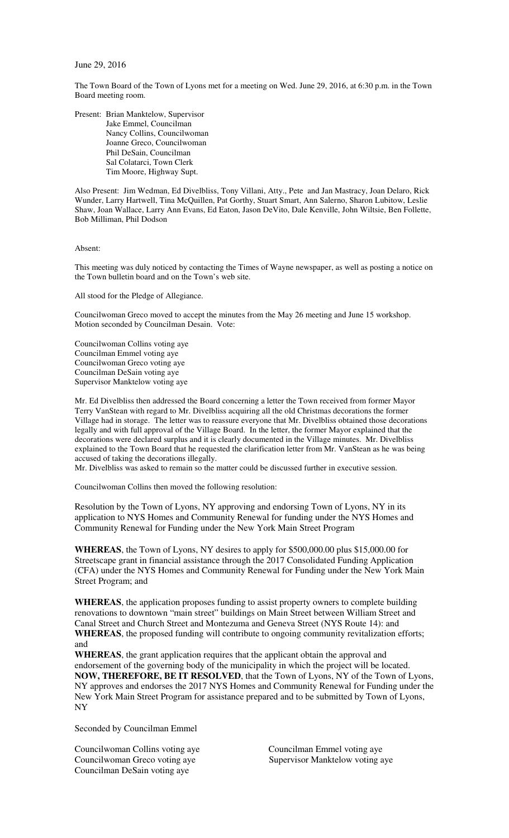## June 29, 2016

The Town Board of the Town of Lyons met for a meeting on Wed. June 29, 2016, at 6:30 p.m. in the Town Board meeting room.

Present: Brian Manktelow, Supervisor Jake Emmel, Councilman Nancy Collins, Councilwoman Joanne Greco, Councilwoman Phil DeSain, Councilman Sal Colatarci, Town Clerk Tim Moore, Highway Supt.

Also Present: Jim Wedman, Ed Divelbliss, Tony Villani, Atty., Pete and Jan Mastracy, Joan Delaro, Rick Wunder, Larry Hartwell, Tina McQuillen, Pat Gorthy, Stuart Smart, Ann Salerno, Sharon Lubitow, Leslie Shaw, Joan Wallace, Larry Ann Evans, Ed Eaton, Jason DeVito, Dale Kenville, John Wiltsie, Ben Follette, Bob Milliman, Phil Dodson

Absent:

This meeting was duly noticed by contacting the Times of Wayne newspaper, as well as posting a notice on the Town bulletin board and on the Town's web site.

All stood for the Pledge of Allegiance.

Councilwoman Greco moved to accept the minutes from the May 26 meeting and June 15 workshop. Motion seconded by Councilman Desain. Vote:

Councilwoman Collins voting aye Councilman Emmel voting aye Councilwoman Greco voting aye Councilman DeSain voting aye Supervisor Manktelow voting aye

Mr. Ed Divelbliss then addressed the Board concerning a letter the Town received from former Mayor Terry VanStean with regard to Mr. Divelbliss acquiring all the old Christmas decorations the former Village had in storage. The letter was to reassure everyone that Mr. Divelbliss obtained those decorations legally and with full approval of the Village Board. In the letter, the former Mayor explained that the decorations were declared surplus and it is clearly documented in the Village minutes. Mr. Divelbliss explained to the Town Board that he requested the clarification letter from Mr. VanStean as he was being accused of taking the decorations illegally.

Mr. Divelbliss was asked to remain so the matter could be discussed further in executive session.

Councilwoman Collins then moved the following resolution:

Resolution by the Town of Lyons, NY approving and endorsing Town of Lyons, NY in its application to NYS Homes and Community Renewal for funding under the NYS Homes and Community Renewal for Funding under the New York Main Street Program

**WHEREAS**, the Town of Lyons, NY desires to apply for \$500,000.00 plus \$15,000.00 for Streetscape grant in financial assistance through the 2017 Consolidated Funding Application (CFA) under the NYS Homes and Community Renewal for Funding under the New York Main Street Program; and

**WHEREAS**, the application proposes funding to assist property owners to complete building renovations to downtown "main street" buildings on Main Street between William Street and Canal Street and Church Street and Montezuma and Geneva Street (NYS Route 14): and **WHEREAS**, the proposed funding will contribute to ongoing community revitalization efforts; and

**WHEREAS**, the grant application requires that the applicant obtain the approval and endorsement of the governing body of the municipality in which the project will be located. **NOW, THEREFORE, BE IT RESOLVED**, that the Town of Lyons, NY of the Town of Lyons, NY approves and endorses the 2017 NYS Homes and Community Renewal for Funding under the New York Main Street Program for assistance prepared and to be submitted by Town of Lyons, NY

Seconded by Councilman Emmel

Councilwoman Collins voting aye Councilman Emmel voting aye Councilwoman Greco voting aye Supervisor Manktelow voting aye Councilman DeSain voting aye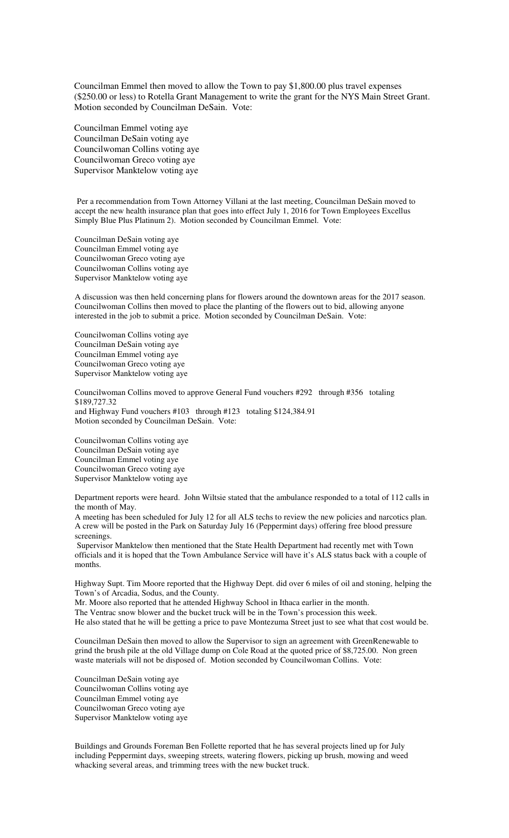Councilman Emmel then moved to allow the Town to pay \$1,800.00 plus travel expenses (\$250.00 or less) to Rotella Grant Management to write the grant for the NYS Main Street Grant. Motion seconded by Councilman DeSain. Vote:

Councilman Emmel voting aye Councilman DeSain voting aye Councilwoman Collins voting aye Councilwoman Greco voting aye Supervisor Manktelow voting aye

Per a recommendation from Town Attorney Villani at the last meeting, Councilman DeSain moved to accept the new health insurance plan that goes into effect July 1, 2016 for Town Employees Excellus Simply Blue Plus Platinum 2). Motion seconded by Councilman Emmel. Vote:

Councilman DeSain voting aye Councilman Emmel voting aye Councilwoman Greco voting aye Councilwoman Collins voting aye Supervisor Manktelow voting aye

A discussion was then held concerning plans for flowers around the downtown areas for the 2017 season. Councilwoman Collins then moved to place the planting of the flowers out to bid, allowing anyone interested in the job to submit a price. Motion seconded by Councilman DeSain. Vote:

Councilwoman Collins voting aye Councilman DeSain voting aye Councilman Emmel voting aye Councilwoman Greco voting aye Supervisor Manktelow voting aye

Councilwoman Collins moved to approve General Fund vouchers #292 through #356 totaling \$189,727.32 and Highway Fund vouchers #103 through #123 totaling \$124,384.91 Motion seconded by Councilman DeSain. Vote:

Councilwoman Collins voting aye Councilman DeSain voting aye Councilman Emmel voting aye Councilwoman Greco voting aye Supervisor Manktelow voting aye

Department reports were heard. John Wiltsie stated that the ambulance responded to a total of 112 calls in the month of May.

A meeting has been scheduled for July 12 for all ALS techs to review the new policies and narcotics plan. A crew will be posted in the Park on Saturday July 16 (Peppermint days) offering free blood pressure screenings.

 Supervisor Manktelow then mentioned that the State Health Department had recently met with Town officials and it is hoped that the Town Ambulance Service will have it's ALS status back with a couple of months.

Highway Supt. Tim Moore reported that the Highway Dept. did over 6 miles of oil and stoning, helping the Town's of Arcadia, Sodus, and the County.

Mr. Moore also reported that he attended Highway School in Ithaca earlier in the month.

The Ventrac snow blower and the bucket truck will be in the Town's procession this week. He also stated that he will be getting a price to pave Montezuma Street just to see what that cost would be.

Councilman DeSain then moved to allow the Supervisor to sign an agreement with GreenRenewable to grind the brush pile at the old Village dump on Cole Road at the quoted price of \$8,725.00. Non green waste materials will not be disposed of. Motion seconded by Councilwoman Collins. Vote:

Councilman DeSain voting aye Councilwoman Collins voting aye Councilman Emmel voting aye Councilwoman Greco voting aye Supervisor Manktelow voting aye

Buildings and Grounds Foreman Ben Follette reported that he has several projects lined up for July including Peppermint days, sweeping streets, watering flowers, picking up brush, mowing and weed whacking several areas, and trimming trees with the new bucket truck.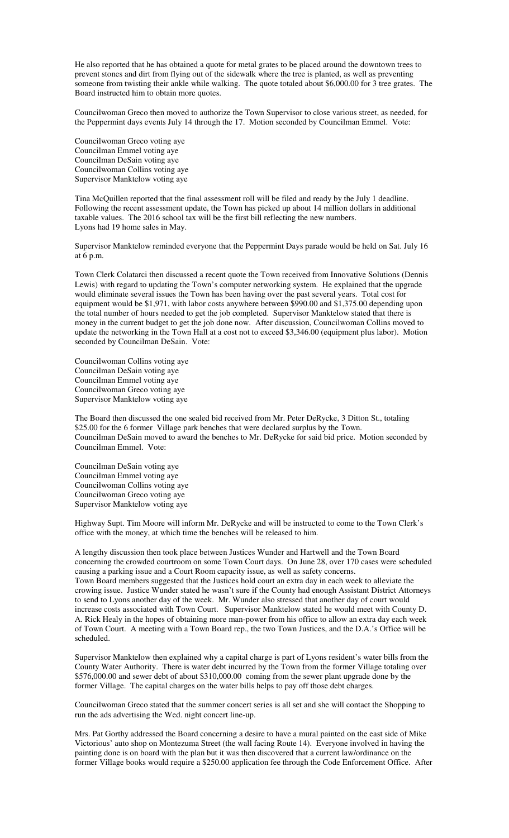He also reported that he has obtained a quote for metal grates to be placed around the downtown trees to prevent stones and dirt from flying out of the sidewalk where the tree is planted, as well as preventing someone from twisting their ankle while walking. The quote totaled about \$6,000.00 for 3 tree grates. The Board instructed him to obtain more quotes.

Councilwoman Greco then moved to authorize the Town Supervisor to close various street, as needed, for the Peppermint days events July 14 through the 17. Motion seconded by Councilman Emmel. Vote:

Councilwoman Greco voting aye Councilman Emmel voting aye Councilman DeSain voting aye Councilwoman Collins voting aye Supervisor Manktelow voting aye

Tina McQuillen reported that the final assessment roll will be filed and ready by the July 1 deadline. Following the recent assessment update, the Town has picked up about 14 million dollars in additional taxable values. The 2016 school tax will be the first bill reflecting the new numbers. Lyons had 19 home sales in May.

Supervisor Manktelow reminded everyone that the Peppermint Days parade would be held on Sat. July 16 at 6 p.m.

Town Clerk Colatarci then discussed a recent quote the Town received from Innovative Solutions (Dennis Lewis) with regard to updating the Town's computer networking system. He explained that the upgrade would eliminate several issues the Town has been having over the past several years. Total cost for equipment would be \$1,971, with labor costs anywhere between \$990.00 and \$1,375.00 depending upon the total number of hours needed to get the job completed. Supervisor Manktelow stated that there is money in the current budget to get the job done now. After discussion, Councilwoman Collins moved to update the networking in the Town Hall at a cost not to exceed \$3,346.00 (equipment plus labor). Motion seconded by Councilman DeSain. Vote:

Councilwoman Collins voting aye Councilman DeSain voting aye Councilman Emmel voting aye Councilwoman Greco voting aye Supervisor Manktelow voting aye

The Board then discussed the one sealed bid received from Mr. Peter DeRycke, 3 Ditton St., totaling \$25.00 for the 6 former Village park benches that were declared surplus by the Town. Councilman DeSain moved to award the benches to Mr. DeRycke for said bid price. Motion seconded by Councilman Emmel. Vote:

Councilman DeSain voting aye Councilman Emmel voting aye Councilwoman Collins voting aye Councilwoman Greco voting aye Supervisor Manktelow voting aye

Highway Supt. Tim Moore will inform Mr. DeRycke and will be instructed to come to the Town Clerk's office with the money, at which time the benches will be released to him.

A lengthy discussion then took place between Justices Wunder and Hartwell and the Town Board concerning the crowded courtroom on some Town Court days. On June 28, over 170 cases were scheduled causing a parking issue and a Court Room capacity issue, as well as safety concerns. Town Board members suggested that the Justices hold court an extra day in each week to alleviate the crowing issue. Justice Wunder stated he wasn't sure if the County had enough Assistant District Attorneys to send to Lyons another day of the week. Mr. Wunder also stressed that another day of court would increase costs associated with Town Court. Supervisor Manktelow stated he would meet with County D. A. Rick Healy in the hopes of obtaining more man-power from his office to allow an extra day each week of Town Court. A meeting with a Town Board rep., the two Town Justices, and the D.A.'s Office will be scheduled.

Supervisor Manktelow then explained why a capital charge is part of Lyons resident's water bills from the County Water Authority. There is water debt incurred by the Town from the former Village totaling over \$576,000.00 and sewer debt of about \$310,000.00 coming from the sewer plant upgrade done by the former Village. The capital charges on the water bills helps to pay off those debt charges.

Councilwoman Greco stated that the summer concert series is all set and she will contact the Shopping to run the ads advertising the Wed. night concert line-up.

Mrs. Pat Gorthy addressed the Board concerning a desire to have a mural painted on the east side of Mike Victorious' auto shop on Montezuma Street (the wall facing Route 14). Everyone involved in having the painting done is on board with the plan but it was then discovered that a current law/ordinance on the former Village books would require a \$250.00 application fee through the Code Enforcement Office. After